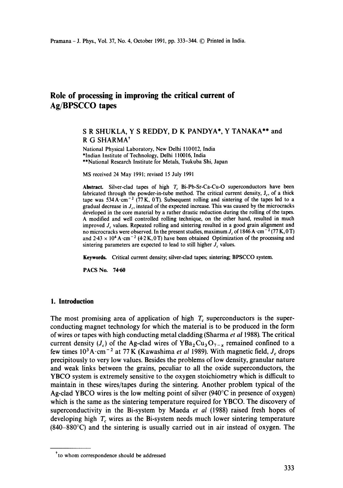# **Role of processing in improving the critical current of**  Ag/BPSCCO **tapes**

# S R SHUKLA, Y S REDDY, D K PANDYA\*, Y TANAKA\*\* and R G SHARMA\*

National Physical Laboratory, New Delhi 110012, India \*Indian Institute of Technology, Delhi 110016, India \*\*National Research Institute for Metals, Tsukuba Shi, Japan

MS received 24 May 1991; revised 15 July 1991

Abstract. Silver-clad tapes of high T<sub>c</sub> Bi-Pb-Sr-Ca-Cu-O superconductors have been fabricated through the powder-in-tube method. The critical current density,  $J_c$ , of a thick tape was  $534 \text{ A} \cdot \text{cm}^{-2}$  (77 K, 0 T). Subsequent rolling and sintering of the tapes led to a gradual decrease in  $J_c$ , instead of the expected increase. This was caused by the microcracks developed in the core material by a rather drastic reduction during the rolling of the tapes. A modified and well controlled rolling technique, on the other hand, resulted in much improved  $J<sub>c</sub>$  values. Repeated rolling and sintering resulted in a good grain alignment and no microcracks were observed. In the present studies, maximum  $J_c$  of 1846 A·cm<sup>-2</sup> (77 K, 0 T) and  $2.43 \times 10^4$  A·cm<sup>-2</sup> (4.2 K, 0 T) have been obtained Optimization of the processing and sintering parameters are expected to lead to still higher  $J_c$  values.

Keywords. Critical current density; silver-clad tapes; sintering; BPSCCO system.

PACS No. **74.60** 

## **1. Introduction**

The most promising area of application of high  $T_c$  superconductors is the superconducting magnet technology for which the material is to be produced in the form of wires or tapes with high conducting metal cladding (Sharma *et al* 1988). The critical current density ( $J_c$ ) of the Ag-clad wires of YBa<sub>2</sub>Cu<sub>3</sub>O<sub>7-x</sub> remained confined to a few times  $10^3$ A·cm<sup>-2</sup> at 77 K (Kawashima *et al* 1989). With magnetic field,  $J_c$  drops precipitously to very low values. Besides the problems of low density, granular nature and weak links between the grains, peculiar to all the oxide superconductors, the YBCO system is extremely sensitive to the oxygen stoichiometry which is difficult to maintain in these wires/tapes during the sintering. Another problem typical of the Ag-clad YBCO wires is the low melting point of silver  $(940^{\circ}$ C in presence of oxygen) which is the same as the sintering temperature required for YBCO. The discovery of superconductivity in the Bi-system by Maeda *et al* (1988) raised fresh hopes of developing high *T<sub>c</sub>* wires as the Bi-system needs much lower sintering temperature  $(840-880^{\circ}C)$  and the sintering is usually carried out in air instead of oxygen. The

<sup>\*</sup>to whom correspondence should be addressed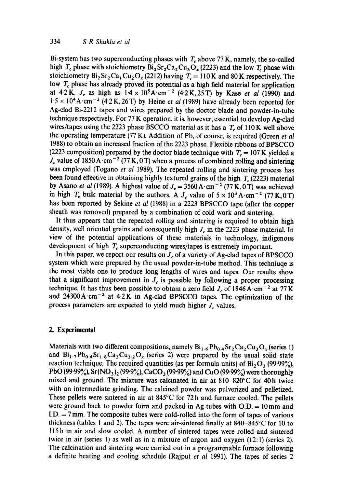Bi-system has two superconducting phases with  $T_c$  above 77 K, namely, the so-called high *T<sub>c</sub>* phase with stoichiometry  $Bi_2Sr_2Ca_2Cu_3O_x$  (2223) and the low *T<sub>c</sub>* phase with stoichiometry  $Bi_2Sr_2Ca_1Cu_2O_x (2212)$  having  $T_c = 110 K$  and 80 K respectively. The low  $T_c$  phase has already proved its potential as a high field material for application at 4.2K.  $J_c$  as high as  $1.4 \times 10^5$ A·cm<sup>-2</sup> (4.2K,25T) by Kase *et al* (1990) and  $1.5 \times 10^{4}$  A·cm<sup>-2</sup> (4.2 K, 26 T) by Heine *et al* (1989) have already been reported for Ag-clad Bi-2212 tapes and wires prepared by the doctor blade and powder-in-tube technique respectively. For 77 K operation, it is, however, essential to develop Ag-clad wires/tapes using the 2223 phase BSCCO material as it has a  $T_c$  of 110 K well above the operating temperature (77 K). Addition of Pb, of course, is required (Green *et al*  1988) to obtain an increased fraction of the 2223 phase. Flexible ribbons of BPSCCO (2223 composition) prepared by the doctor blade technique with  $T_c = 107$  K yielded a  $J_c$  value of 1850 A·cm<sup>-2</sup> (77 K, 0 T) when a process of combined rolling and sintering was employed (Togano *et al* 1989). The repeated rolling and sintering process has been found effective in obtaining highly textured grains of the high  $T_c$  (2223) material by Asano *et al* (1989). A highest value of  $J_c = 3560 \,\mathrm{A \cdot cm^{-2}}$  (77 K, 0 T) was achieved in high  $T_c$  bulk material by the authors. A  $J_c$  value of  $5 \times 10^3$  A·cm<sup>-2</sup> (77 K,0 T) has been reported by Sekine *et al* (1988) in a 2223 BPSCCO tape (after the copper sheath was removed) prepared by a combination of cold work and sintering.

It thus appears that the repeated rolling and sintering is required to obtain high density, well oriented grains and consequently high  $J_c$  in the 2223 phase material. In view of the potential applications of these materials in technology, indigenous development of high  $T_c$  superconducting wires/tapes is extremely important.

In this paper, we report our results on  $J<sub>c</sub>$  of a variety of Ag-clad tapes of BPSCCO system which were prepared by the usual powder-in-tube method. This techniuqe is the most viable one to produce long lengths of wires and tapes. Our results show that a significant improvement in  $J_c$  is possible by following a proper processing technique. It has thus been possible to obtain a zero field  $J_c$  of 1846 A $\cdot$ cm<sup>-2</sup> at 77 K. and  $24300 \text{ A} \cdot \text{cm}^{-2}$  at  $4.2 \text{ K}$  in Ag-clad BPSCCO tapes. The optimization of the process parameters are expected to yield much higher *J<sub>c</sub>* values.

## **2. Experimental**

Materials with two different compositions, namely  $Bi_{1.6}Pb_{0.4}Sr_2Ca_2Cu_3O_x$  (series 1) and  $Bi_{1.7}Pb_{0.4}Sr_{1.8}Ca_2Cu_{3.2}O_x$  (series 2) were prepared by the usual solid state reaction technique. The required quantities (as per formula units) of  $Bi_2O_3$  (99.99%), PbO (99.99%),  $Sr(NO<sub>3</sub>)<sub>2</sub>$  (99.9%), CaCO<sub>3</sub> (99.99%) and CuO (99.99%) were thoroughly mixed and ground. The mixture was calcinated in air at 810-820°C for 40h twice with an intermediate grinding. The calcined powder was pulverized and pelletized. These pellets were sintered in air at 845°C for 72 h and furnace cooled. The pellets were ground back to powder form and packed in Ag tubes with  $O.D. = 10 \text{ mm}$  and  $I.D. = 7$  mm. The composite tubes were cold-rolled into the form of tapes of various thickness (tables 1 and 2). The tapes were air-sintered finally at 840-845°C for 10 to 115 h in air and slow cooled. A number of sintered tapes were rolled and sintered twice in air (series 1) as well as in a mixture of argon and oxygen (12:1) (series 2). The calcination and sintering were carried out in a programmable furnace following a definite heating and ceoling schedule (Rajput *et al* 1991). The tapes of series 2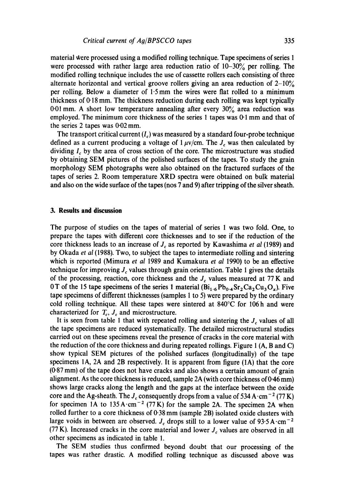material were processed using a modified rolling technique. Tape specimens of series 1 were processed with rather large area reduction ratio of  $10-30\%$  per rolling. The modified rolling technique includes the use of cassette rollers each consisting of three alternate horizontal and vertical groove rollers giving an area reduction of  $2\n-10\%$ per rolling. Below a diameter of  $1.5$  mm the wires were flat rolled to a minimum thickness of 0.18 mm. The thickness reduction during each rolling was kept typically 0.01 mm. A short low temperature annealing after every 30% area reduction was employed. The minimum core thickness of the series  $1$  tapes was  $0:1$  mm and that of the series 2 tapes was 0.02 mm.

The transport critical current  $(I_c)$  was measured by a standard four-probe technique defined as a current producing a voltage of  $1 \mu v/cm$ . The  $J_c$  was then calculated by dividing  $I<sub>c</sub>$  by the area of cross section of the core. The microstructure was studied by obtaining SEM pictures of the polished surfaces of the tapes. To study the grain morphology SEM photographs were also obtained on the fractured surfaces of the tapes of series 2. Room temperature XRD spectra were obtained on bulk material and also on the wide surface of the tapes (nos 7 and 9) after tripping of the silver sheath.

#### **3. Results and discussion**

The purpose of studies on the tapes of material of series 1 was two fold. One, to prepare the tapes with different core thicknesses and to see if the reduction of the core thickness leads to an increase of  $J_c$  as reported by Kawashima *et al* (1989) and by Okada *et al* (1988). Two, to subject the tapes to intermediate rolling and sintering which is reported (Mimura *et al* 1989 and Kumakura *et al* 1990) to be an effective technique for improving  $J_c$  values through grain orientation. Table 1 gives the details of the processing, reaction, core thickness and the  $J_c$  values measured at 77 K and 0 T of the 15 tape specimens of the series 1 material  $(B_{1,6}P_{0,4}Sr_2Ca_2Cu_3O_x)$ . Five tape specimens of different thicknesses (samples 1 to 5) were prepared by the ordinary cold rolling technique. All these tapes were sintered at 840°C for 106h and were characterized for  $T_c$ ,  $J_c$  and microstructure.

It is seen from table 1 that with repeated rolling and sintering the  $J_c$  values of all the tape specimens are reduced systematically. The detailed microstructural studies carried out on these specimens reveal the presence of cracks in the core material with the reduction of the core thickness and during repeated rollings. Figure 1 (A, B and C) show typical SEM pictures of the polished surfaces (longitudinally) of the tape specimens IA, 2A and 2B respectively. It is apparent from figure (1A) that the core (0.87 mm) of the tape does not have cracks and also shows a certain amount of grain alignment. As the core thickness is reduced, sample 2A (with core thickness of 0.46 mm) shows large cracks along the length and the gaps at the interface between the oxide core and the Ag-sheath. The  $J_c$  consequently drops from a value of 534 A·cm<sup>-2</sup> (77 K) for specimen 1A to  $135 \text{A} \cdot \text{cm}^{-2}$  (77 K) for the sample 2A. The specimen 2A when rolled further to a core thickness of 0.38 mm (sample 2B) isolated oxide clusters with large voids in between are observed. J<sub>c</sub> drops still to a lower value of 93.5 A $\cdot$ cm<sup>-2</sup> (77 K). Increased cracks in the core material and lower  $J_c$  values are observed in all other specimens as indicated in table 1.

The SEM studies thus confirmed beyond doubt that our processing of the tapes was rather drastic. A modified rolling technique as discussed above was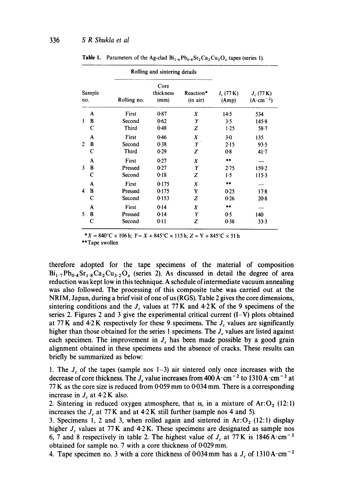|                |        |                 | Rolling and sintering details |                       |                      |                                    |  |
|----------------|--------|-----------------|-------------------------------|-----------------------|----------------------|------------------------------------|--|
| Sample<br>no.  |        | Rolling no.     | Core<br>thickness<br>(mm)     | Reaction*<br>(in air) | $I_c(77 K)$<br>(Amp) | $J_c(77 K)$<br>$(A \cdot cm^{-2})$ |  |
|                | A      | First           | 0.87                          | X                     | 14.5                 | 534                                |  |
| 1              | B<br>C | Second<br>Third | 0.62<br>0.48                  | Y<br>z                | 3.5<br>1.25          | $145-8$<br>$58 - 7$                |  |
|                | A      | First           | 0.46                          | X                     | 3.0                  | 135                                |  |
| $\overline{2}$ | B      | Second          | 0.38                          | Y                     | 2.15                 | 93.5                               |  |
|                | C      | <b>Third</b>    | 0.29                          | Z                     | 0.8                  | $41 - 7$                           |  |
|                | A      | First           | 0.27                          | X                     | **                   |                                    |  |
| 3              | B      | Pressed         | 0.27                          | Y                     | $2 - 75$             | 159.2                              |  |
|                | C      | Second          | 0.18                          | z                     | 1.5                  | 115.3                              |  |
|                | A      | First           | 0.175                         | X                     | $**$                 |                                    |  |
| 4              | B      | Pressed         | 0.175                         | Y                     | 0.25                 | 17.8                               |  |
|                | C      | Second          | 0.153                         | z                     | 0.26                 | $20-8$                             |  |
|                | A      | First           | 0.14                          | X                     | 案本                   |                                    |  |
| 5              | B      | Pressed         | 0.14                          | Y                     | 0.5                  | 140                                |  |
|                | C      | Second          | 0.11                          | z                     | 0.38                 | 33.3                               |  |
|                |        |                 |                               |                       |                      |                                    |  |

**Table 1.** Parameters of the Ag-clad  $Bi_{1.6}Pb_{0.4}Sr_2Ca_2Cu_3O_x$  tapes (series 1).

\*  $X = 840^{\circ}$ C × 106 h;  $Y = X + 845^{\circ}$ C × 115 h;  $Z = Y + 845^{\circ}$ C × 51 h

\*\*Tape swollen

therefore adopted for the tape specimens of the material of composition  $Bi_{1.7}Pb_{0.4}Sr_{1.8}Ca_2Cu_{3.2}O_x$  (series 2). As discussed in detail the degree of area reduction was kept low in this technique. A schedule of intermediate vacuum annealing was also followed. The processing of this composite tube was carried out at the NRIM, Japan, during a brief visit of one of us (RGS). Table 2 gives the core dimensions, sintering conditions and the  $J_c$  values at 77 K and 4.2 K of the 9 specimens of the series 2. Figures 2 and 3 give the experimental critical current  $(I-V)$  plots obtained at 77 K and  $4.2$  K respectively for these 9 specimens. The  $J_c$  values are significantly higher than those obtained for the series 1 specimens. The  $J_c$  values are listed against each specimen. The improvement in  $J_c$  has been made possible by a good grain alignment obtained in these specimens and the absence of cracks. These results can briefly be summarized as below:

1. The  $J_c$  of the tapes (sample nos 1-3) air sintered only once increases with the decrease of core thickness. The  $J_c$  value increases from 400 A $\cdot$ cm<sup>-2</sup> to 1310 A $\cdot$ cm<sup>-2</sup> at  $77$  K as the core size is reduced from 0.059 mm to 0.034 mm. There is a corresponding increase in  $J_c$  at 4.2 K also.

2. Sintering in reduced oxygen atmosphere, that is, in a mixture of  $Ar:O<sub>2</sub> (12:1)$ increases the  $J_c$  at 77 K and at 4.2 K still further (sample nos 4 and 5).

3. Specimens 1, 2 and 3, when rolled again and sintered in  $Ar: O_2$  (12:1) display higher  $J_c$  values at 77 K and 4.2 K. These specimens are designated as sample nos 6, 7 and 8 respectively in table 2. The highest value of  $J_c$  at 77 K is 1846 A $\cdot$ cm<sup>-2</sup> obtained for sample no. 7 with a core thickness of 0.029 mm.

4. Tape specimen no. 3 with a core thickness of 0.034 mm has a  $J_c$  of 1310 A $\cdot$ cm<sup>-2</sup>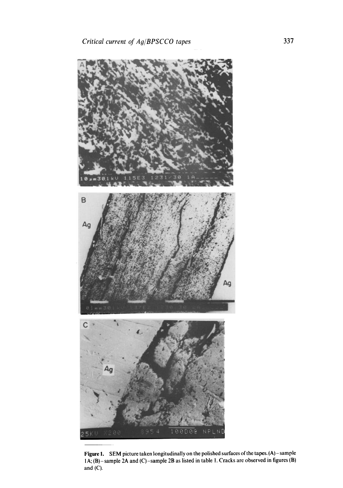

**Figure 1.** SEM picture taken longitudinally on the polished surfaces of the tapes. (A) – sample IA; (B)-sample 2A and (C)-sample 2B as listed in table 1. Cracks are observed in figures (B) and  $(C)$ .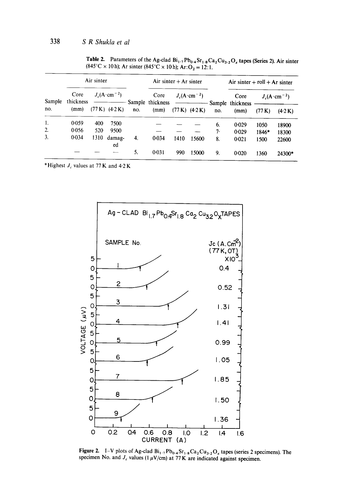|        | Air sinter        |                                                                                                                                                                                                                                                                                                                                                                                                                                                       |              |     | Air sinter $+$ Ar sinter |                                                                   |                    | Air sinter $+$ roll $+$ Ar sinter |                          |                                    |         |
|--------|-------------------|-------------------------------------------------------------------------------------------------------------------------------------------------------------------------------------------------------------------------------------------------------------------------------------------------------------------------------------------------------------------------------------------------------------------------------------------------------|--------------|-----|--------------------------|-------------------------------------------------------------------|--------------------|-----------------------------------|--------------------------|------------------------------------|---------|
| Sample | Core<br>thickness | $J_c(A \, \text{cm}^{-2})$<br>$\begin{tabular}{cccccc} \multicolumn{2}{c }{\textbf{1} & \textbf{2} & \textbf{3} & \textbf{4} & \textbf{5} & \textbf{5} & \textbf{6} & \textbf{6} & \textbf{7} & \textbf{8} & \textbf{8} & \textbf{9} & \textbf{10} & \textbf{10} & \textbf{10} & \textbf{10} & \textbf{10} & \textbf{10} & \textbf{10} & \textbf{10} & \textbf{10} & \textbf{10} & \textbf{10} & \textbf{10} & \textbf{10} & \textbf{10} & \textbf{1$ |              |     | Core<br>Sample thickness | $J_c(\text{A}\cdot\text{cm}^{-2})$<br>$\overbrace{\hspace{25mm}}$ |                    |                                   | Core                     | $J_c(\text{A}\cdot\text{cm}^{-2})$ |         |
| no.    | (mm)              | (77 K)                                                                                                                                                                                                                                                                                                                                                                                                                                                | (4.2 K)      | no. | (mm)                     |                                                                   | $(77 K)$ $(4.2 K)$ | no.                               | Sample thickness<br>(mm) | (77 K)                             | (4.2 K) |
| 1.     | 0.059             | 400                                                                                                                                                                                                                                                                                                                                                                                                                                                   | 7500         |     |                          |                                                                   |                    | 6.                                | 0.029                    | 1050                               | 18900   |
| 2.     | 0.056             | 520                                                                                                                                                                                                                                                                                                                                                                                                                                                   | 9500         |     |                          |                                                                   |                    | 7.                                | 0.029                    | 1846*                              | 18300   |
| 3.     | 0.034             | 1310                                                                                                                                                                                                                                                                                                                                                                                                                                                  | damag-<br>ed | 4.  | $0 - 0.34$               | 1410                                                              | 15600              | 8.                                | 0.021                    | 1500                               | 22600   |
|        |                   |                                                                                                                                                                                                                                                                                                                                                                                                                                                       |              | 5.  | 0.031                    | 990                                                               | 15000              | 9.                                | 0.020                    | 1360                               | 24300*  |

Table 2. Parameters of the Ag-clad  $Bi_{1,7}Pb_{0,4}Sr_{1,8}Ca_2Cu_{3,2}O_x$  tapes (Series 2). Air sinter  $(845^{\circ}C \times 10 \text{ h})$ ; Ar sinter  $(845^{\circ}C \times 10 \text{ h})$ ; Ar: $O_2 = 12:1$ .

\*Highest  $J_c$  values at 77 K and 4.2 K



Figure 2. I–V plots of Ag-clad  $Bi_{1.7}Pb_{0.4}Sr_{1.8}Ca_2Cu_{3.2}O_x$  tapes (series 2 specimens). The specimen No. and  $J_c$  values (1  $\mu$ V/cm) at 77 K are indicated against specimen.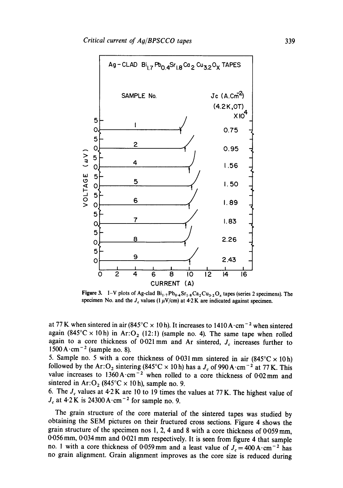

**Figure 3.** I–V plots of Ag-clad  $Bi_1$ .,  $Pb_0$ .,  $Sr_1$ .,  $Ca_2Cu_3$ .,  $O_x$  tapes (series 2 specimens). The specimen No. and the  $J_c$  values (1  $\mu$ V/cm) at 4.2 K are indicated against specimen.

at 77 K when sintered in air (845°C  $\times$  10 h). It increases to 1410 A $\cdot$ cm<sup>-2</sup> when sintered again (845°C × 10h) in Ar: O<sub>2</sub> (12:1) (sample no. 4). The same tape when rolled again to a core thickness of 0.021 mm and Ar sintered,  $J_c$  increases further to  $1500 \text{ A} \cdot \text{cm}^{-2}$  (sample no. 8).

5. Sample no. 5 with a core thickness of 0.031 mm sintered in air  $(845^{\circ}C \times 10 h)$ followed by the Ar: O<sub>2</sub> sintering (845°C  $\times$  10h) has a  $J_c$  of 990A·cm<sup>-2</sup> at 77K. This value increases to 1360 A·cm<sup>-2</sup> when rolled to a core thickness of 0.02 mm and sintered in Ar: $O_2$  (845°C × 10h), sample no. 9.

6. The  $J_c$  values at 4.2 K are 10 to 19 times the values at 77 K. The highest value of  $J_c$  at 4.2 K is 24300 A $\cdot$ cm<sup>-2</sup> for sample no. 9.

The grain structure of the core material of the sintered tapes was studied by obtaining the SEM pictures on their fructured cross sections. Figure 4 shows the grain structure of the specimen nos 1, 2, 4 and 8 with a core thickness of  $0.059$  mm, 0.056 mm, 0.034 mm and 0.021 mm respectively. It is seen from figure 4 that sample no. 1 with a core thickness of 0.059 mm and a least value of  $J_c = 400 \text{ A} \cdot \text{cm}^{-2}$  has no grain alignment. Grain alignment improves as the core size is reduced during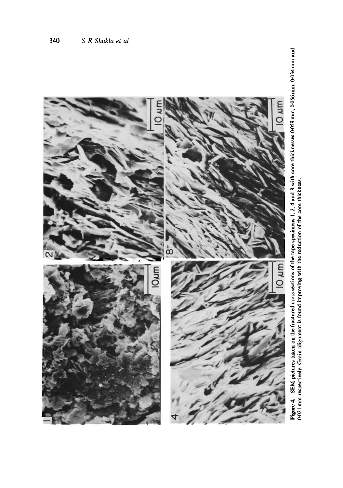

Figure 4. SEM pictures taken on the fractured cross sections of the tape specimens 1, 2, 4 and 8 with core thicknesses 0-059 mm, 0-056 mm, 0-034 mm and 0-021 mm respectively. Grain alignment is found improving with the red Figure 4. SEM pictures taken on the fractured cross sections of the tape specimens 1, 2, 4 and 8 with core thicknesses 0-059 mm, 0-056 mm, 0.034 mm and 0-021 mm respectively. Grain alignment is found improving with the reduction of the core thickness.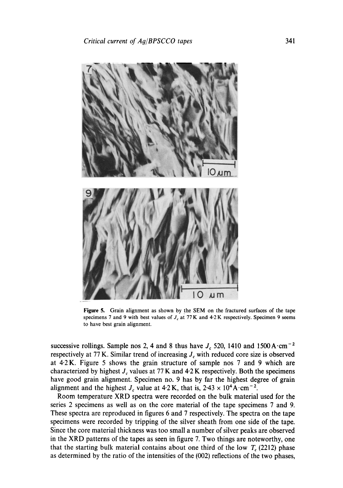

Figure 5. Grain alignment as shown by the SEM on the fractured surfaces of the tape specimens 7 and 9 with best values of  $J_c$  at 77 K and 4-2 K respectively. Specimen 9 seems to have best grain alignment.

successive rollings. Sample nos 2, 4 and 8 thus have  $J_c$  520, 1410 and 1500 A $\cdot$ cm<sup>-2</sup> respectively at 77 K. Similar trend of increasing  $J_c$  with reduced core size is observed at 4.2 K. Figure 5 shows the grain structure of sample nos 7 and 9 which are characterized by highest  $J_c$  values at 77 K and 4.2 K respectively. Both the specimens have good grain alignment. Specimen no. 9 has by far the highest degree of grain alignment and the highest  $J_c$  value at 4.2 K, that is, 2.43  $\times$  10<sup>4</sup> A cm<sup>-2</sup>.

Room temperature XRD spectra were recorded on the bulk material used for the series 2 specimens as well as on the core material of the tape specimens 7 and 9. These spectra are reproduced in figures 6 and 7 respectively. The spectra on the tape specimens were recorded by tripping of the silver sheath from one side of the tape. Since the core material thickness was too small a number of silver peaks are observed in the XRD patterns of the tapes as seen in figure 7. Two things are noteworthy, one that the starting bulk material contains about one third of the low  $T_c$  (2212) phase as determined by the ratio of the intensities of the (002) reflections of the two phases,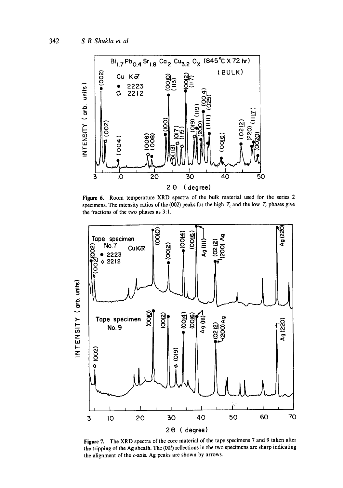

Figure 6. Room temperature XRD spectra of the bulk material used for the series 2 specimens. The intensity ratios of the (002) peaks for the high  $T_c$  and the low  $T_c$  phases give the fractions of the two phases as 3:1.



**Figure 7.** The XRD spectra of the core material of the tape specimens 7 and 9 taken after the tripping of the Ag sheath. The (001) reflections in the two specimens are sharp indicating the alignment of the c-axis. Ag peaks are shown by arrows.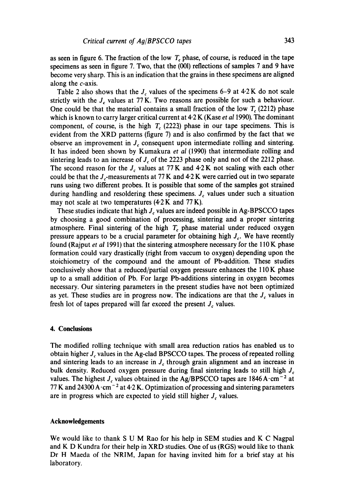as seen in figure 6. The fraction of the low  $T_c$  phase, of course, is reduced in the tape specimens as seen in figure 7. Two, that the (001) reflections of samples 7 and 9 have become very sharp. This is an indication that the grains in these specimens are aligned along the *c*-axis.

Table 2 also shows that the  $J_c$  values of the specimens 6–9 at 4.2 K do not scale strictly with the  $J_c$  values at 77 K. Two reasons are possible for such a behaviour. One could be that the material contains a small fraction of the low  $T_c$  (2212) phase which is known to carry larger critical current at 4.2 K (Kase *et a11990).* The dominant component, of course, is the high  $T_c$  (2223) phase in our tape specimens. This is evident from the XRD patterns (figure 7) and is also confirmed by the fact that we observe an improvement in  $J<sub>c</sub>$  consequent upon intermediate rolling and sintering. It has indeed been shown by Kumakura *et al* (1990) that intermediate rolling and sintering leads to an increase of  $J_c$  of the 2223 phase only and not of the 2212 phase. The second reason for the  $J_c$  values at 77 K and 4.2 K not scaling with each other could be that the  $J<sub>c</sub>$ -measurements at 77 K and 4.2 K were carried out in two separate runs using two different probes. It is possible that some of the samples got strained during handling and resoldering these specimens.  $J<sub>c</sub>$  values under such a situation may not scale at two temperatures  $(4.2 K and 77 K)$ .

These studies indicate that high  $J<sub>c</sub>$  values are indeed possible in Ag-BPSCCO tapes by choosing a good combination of processing, sintering and a proper sintering atmosphere. Final sintering of the high  $T_c$  phase material under reduced oxygen pressure appears to be a crucial parameter for obtaining high  $J_c$ . We have recently found (Rajput *et al* 1991) that the sintering atmosphere necessary for the 110 K phase formation could vary drastically (right from vaccum to oxygen) depending upon the stoichiometry of the compound and the amount of Pb-addition. These studies conclusively show that a reduced/partial oxygen pressure enhances the 110 K phase up to a small addition of Pb. For large Pb-additions sintering in oxygen becomes necessary. Our sintering parameters in the present studies have not been optimized as yet. These studies are in progress now. The indications are that the  $J_c$  values in fresh lot of tapes prepared will far exceed the present  $J_c$  values.

#### **4. Conclusions**

The modified rolling technique with small area reduction ratios has enabled us to obtain higher  $J_c$  values in the Ag-clad BPSCCO tapes. The process of repeated rolling and sintering leads to an increase in  $J_c$  through grain alignment and an increase in bulk density. Reduced oxygen pressure during final sintering leads to still high  $J_c$ values. The highest  $J_c$  values obtained in the Ag/BPSCCO tapes are 1846 A $\cdot$ cm<sup>-2</sup> at 77 K and 24300 A·cm<sup>-2</sup> at 4.2 K. Optimization of processing and sintering parameters are in progress which are expected to yield still higher  $J<sub>c</sub>$  values.

#### **Acknowledgements**

We would like to thank S U M Rao for his help in SEM studies and K C Nagpal and K D Kundra for their help in XRD studies. One of us (RGS) would like to thank Dr H Maeda of the NRIM, Japan for having invited him for a brief stay at his laboratory.